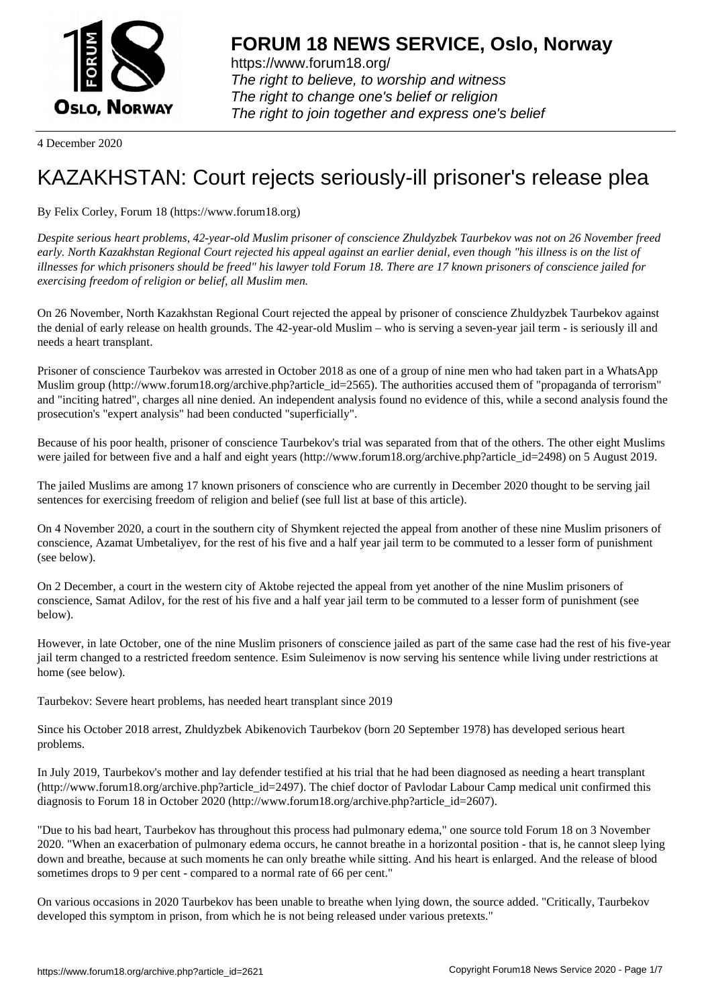

https://www.forum18.org/ The right to believe, to worship and witness The right to change one's belief or religion [The right to join together a](https://www.forum18.org/)nd express one's belief

4 December 2020

## [KAZAKHSTAN:](https://www.forum18.org) Court rejects seriously-ill prisoner's release plea

By Felix Corley, Forum 18 (https://www.forum18.org)

*Despite serious heart problems, 42-year-old Muslim prisoner of conscience Zhuldyzbek Taurbekov was not on 26 November freed early. North Kazakhstan Regional Court rejected his appeal against an earlier denial, even though "his illness is on the list of illnesses for which prisoners should be freed" his lawyer told Forum 18. There are 17 known prisoners of conscience jailed for exercising freedom of religion or belief, all Muslim men.*

On 26 November, North Kazakhstan Regional Court rejected the appeal by prisoner of conscience Zhuldyzbek Taurbekov against the denial of early release on health grounds. The 42-year-old Muslim – who is serving a seven-year jail term - is seriously ill and needs a heart transplant.

Prisoner of conscience Taurbekov was arrested in October 2018 as one of a group of nine men who had taken part in a WhatsApp Muslim group (http://www.forum18.org/archive.php?article\_id=2565). The authorities accused them of "propaganda of terrorism" and "inciting hatred", charges all nine denied. An independent analysis found no evidence of this, while a second analysis found the prosecution's "expert analysis" had been conducted "superficially".

Because of his poor health, prisoner of conscience Taurbekov's trial was separated from that of the others. The other eight Muslims were jailed for between five and a half and eight years (http://www.forum18.org/archive.php?article\_id=2498) on 5 August 2019.

The jailed Muslims are among 17 known prisoners of conscience who are currently in December 2020 thought to be serving jail sentences for exercising freedom of religion and belief (see full list at base of this article).

On 4 November 2020, a court in the southern city of Shymkent rejected the appeal from another of these nine Muslim prisoners of conscience, Azamat Umbetaliyev, for the rest of his five and a half year jail term to be commuted to a lesser form of punishment (see below).

On 2 December, a court in the western city of Aktobe rejected the appeal from yet another of the nine Muslim prisoners of conscience, Samat Adilov, for the rest of his five and a half year jail term to be commuted to a lesser form of punishment (see below).

However, in late October, one of the nine Muslim prisoners of conscience jailed as part of the same case had the rest of his five-year jail term changed to a restricted freedom sentence. Esim Suleimenov is now serving his sentence while living under restrictions at home (see below).

Taurbekov: Severe heart problems, has needed heart transplant since 2019

Since his October 2018 arrest, Zhuldyzbek Abikenovich Taurbekov (born 20 September 1978) has developed serious heart problems.

In July 2019, Taurbekov's mother and lay defender testified at his trial that he had been diagnosed as needing a heart transplant (http://www.forum18.org/archive.php?article\_id=2497). The chief doctor of Pavlodar Labour Camp medical unit confirmed this diagnosis to Forum 18 in October 2020 (http://www.forum18.org/archive.php?article\_id=2607).

"Due to his bad heart, Taurbekov has throughout this process had pulmonary edema," one source told Forum 18 on 3 November 2020. "When an exacerbation of pulmonary edema occurs, he cannot breathe in a horizontal position - that is, he cannot sleep lying down and breathe, because at such moments he can only breathe while sitting. And his heart is enlarged. And the release of blood sometimes drops to 9 per cent - compared to a normal rate of 66 per cent."

On various occasions in 2020 Taurbekov has been unable to breathe when lying down, the source added. "Critically, Taurbekov developed this symptom in prison, from which he is not being released under various pretexts."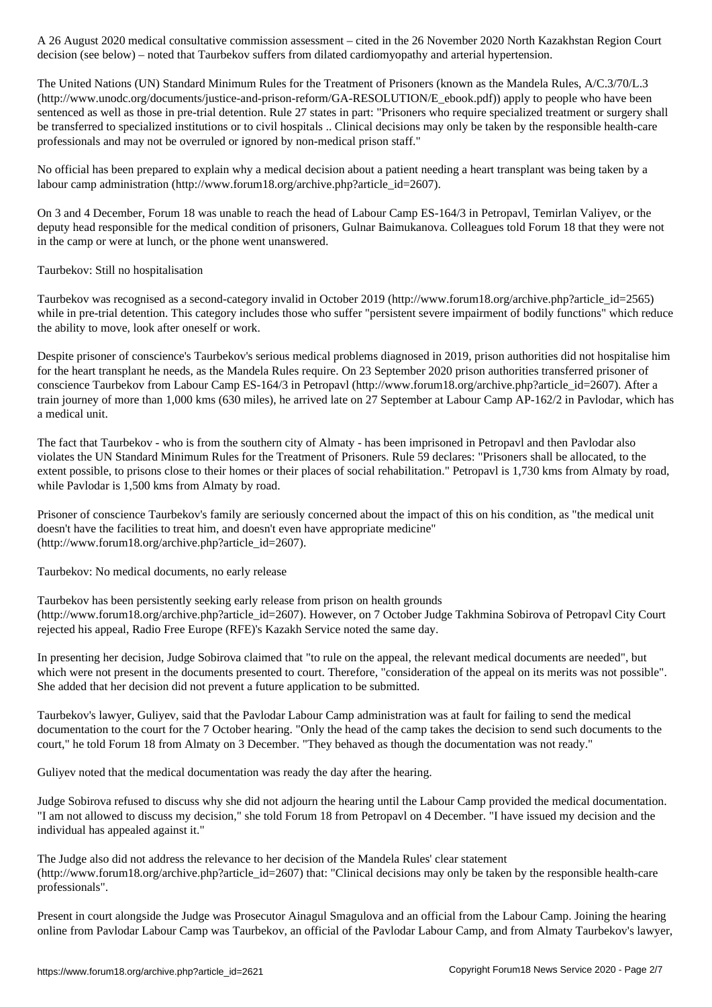decision (see below) – noted that Taurbekov suffers from dilated cardiomyopathy and arterial hypertension.

The United Nations (UN) Standard Minimum Rules for the Treatment of Prisoners (known as the Mandela Rules, A/C.3/70/L.3 (http://www.unodc.org/documents/justice-and-prison-reform/GA-RESOLUTION/E\_ebook.pdf)) apply to people who have been sentenced as well as those in pre-trial detention. Rule 27 states in part: "Prisoners who require specialized treatment or surgery shall be transferred to specialized institutions or to civil hospitals .. Clinical decisions may only be taken by the responsible health-care professionals and may not be overruled or ignored by non-medical prison staff."

No official has been prepared to explain why a medical decision about a patient needing a heart transplant was being taken by a labour camp administration (http://www.forum18.org/archive.php?article\_id=2607).

On 3 and 4 December, Forum 18 was unable to reach the head of Labour Camp ES-164/3 in Petropavl, Temirlan Valiyev, or the deputy head responsible for the medical condition of prisoners, Gulnar Baimukanova. Colleagues told Forum 18 that they were not in the camp or were at lunch, or the phone went unanswered.

## Taurbekov: Still no hospitalisation

Taurbekov was recognised as a second-category invalid in October 2019 (http://www.forum18.org/archive.php?article\_id=2565) while in pre-trial detention. This category includes those who suffer "persistent severe impairment of bodily functions" which reduce the ability to move, look after oneself or work.

Despite prisoner of conscience's Taurbekov's serious medical problems diagnosed in 2019, prison authorities did not hospitalise him for the heart transplant he needs, as the Mandela Rules require. On 23 September 2020 prison authorities transferred prisoner of conscience Taurbekov from Labour Camp ES-164/3 in Petropavl (http://www.forum18.org/archive.php?article\_id=2607). After a train journey of more than 1,000 kms (630 miles), he arrived late on 27 September at Labour Camp AP-162/2 in Pavlodar, which has a medical unit.

The fact that Taurbekov - who is from the southern city of Almaty - has been imprisoned in Petropavl and then Pavlodar also violates the UN Standard Minimum Rules for the Treatment of Prisoners. Rule 59 declares: "Prisoners shall be allocated, to the extent possible, to prisons close to their homes or their places of social rehabilitation." Petropavl is 1,730 kms from Almaty by road, while Pavlodar is 1,500 kms from Almaty by road.

Prisoner of conscience Taurbekov's family are seriously concerned about the impact of this on his condition, as "the medical unit doesn't have the facilities to treat him, and doesn't even have appropriate medicine" (http://www.forum18.org/archive.php?article\_id=2607).

Taurbekov: No medical documents, no early release

Taurbekov has been persistently seeking early release from prison on health grounds (http://www.forum18.org/archive.php?article\_id=2607). However, on 7 October Judge Takhmina Sobirova of Petropavl City Court rejected his appeal, Radio Free Europe (RFE)'s Kazakh Service noted the same day.

In presenting her decision, Judge Sobirova claimed that "to rule on the appeal, the relevant medical documents are needed", but which were not present in the documents presented to court. Therefore, "consideration of the appeal on its merits was not possible". She added that her decision did not prevent a future application to be submitted.

Taurbekov's lawyer, Guliyev, said that the Pavlodar Labour Camp administration was at fault for failing to send the medical documentation to the court for the 7 October hearing. "Only the head of the camp takes the decision to send such documents to the court," he told Forum 18 from Almaty on 3 December. "They behaved as though the documentation was not ready."

Guliyev noted that the medical documentation was ready the day after the hearing.

Judge Sobirova refused to discuss why she did not adjourn the hearing until the Labour Camp provided the medical documentation. "I am not allowed to discuss my decision," she told Forum 18 from Petropavl on 4 December. "I have issued my decision and the individual has appealed against it."

The Judge also did not address the relevance to her decision of the Mandela Rules' clear statement (http://www.forum18.org/archive.php?article\_id=2607) that: "Clinical decisions may only be taken by the responsible health-care professionals".

Present in court alongside the Judge was Prosecutor Ainagul Smagulova and an official from the Labour Camp. Joining the hearing online from Pavlodar Labour Camp was Taurbekov, an official of the Pavlodar Labour Camp, and from Almaty Taurbekov's lawyer,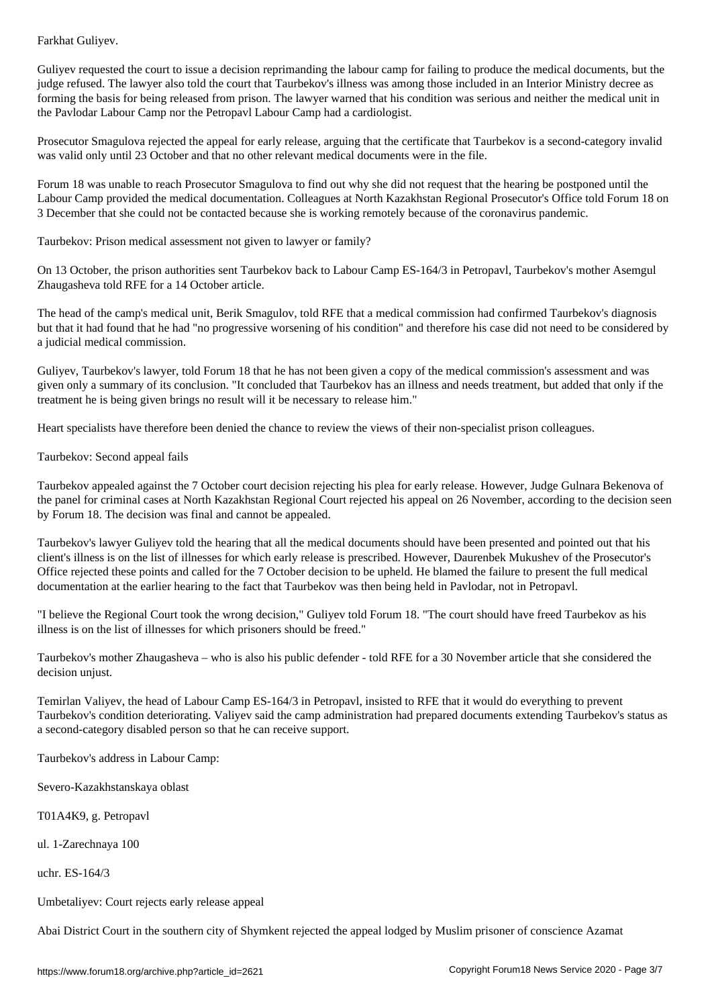Guliyev requested the court to issue a decision reprimanding the labour camp for failing to produce the medical documents, but the judge refused. The lawyer also told the court that Taurbekov's illness was among those included in an Interior Ministry decree as forming the basis for being released from prison. The lawyer warned that his condition was serious and neither the medical unit in the Pavlodar Labour Camp nor the Petropavl Labour Camp had a cardiologist.

Prosecutor Smagulova rejected the appeal for early release, arguing that the certificate that Taurbekov is a second-category invalid was valid only until 23 October and that no other relevant medical documents were in the file.

Forum 18 was unable to reach Prosecutor Smagulova to find out why she did not request that the hearing be postponed until the Labour Camp provided the medical documentation. Colleagues at North Kazakhstan Regional Prosecutor's Office told Forum 18 on 3 December that she could not be contacted because she is working remotely because of the coronavirus pandemic.

Taurbekov: Prison medical assessment not given to lawyer or family?

On 13 October, the prison authorities sent Taurbekov back to Labour Camp ES-164/3 in Petropavl, Taurbekov's mother Asemgul Zhaugasheva told RFE for a 14 October article.

The head of the camp's medical unit, Berik Smagulov, told RFE that a medical commission had confirmed Taurbekov's diagnosis but that it had found that he had "no progressive worsening of his condition" and therefore his case did not need to be considered by a judicial medical commission.

Guliyev, Taurbekov's lawyer, told Forum 18 that he has not been given a copy of the medical commission's assessment and was given only a summary of its conclusion. "It concluded that Taurbekov has an illness and needs treatment, but added that only if the treatment he is being given brings no result will it be necessary to release him."

Heart specialists have therefore been denied the chance to review the views of their non-specialist prison colleagues.

Taurbekov: Second appeal fails

Taurbekov appealed against the 7 October court decision rejecting his plea for early release. However, Judge Gulnara Bekenova of the panel for criminal cases at North Kazakhstan Regional Court rejected his appeal on 26 November, according to the decision seen by Forum 18. The decision was final and cannot be appealed.

Taurbekov's lawyer Guliyev told the hearing that all the medical documents should have been presented and pointed out that his client's illness is on the list of illnesses for which early release is prescribed. However, Daurenbek Mukushev of the Prosecutor's Office rejected these points and called for the 7 October decision to be upheld. He blamed the failure to present the full medical documentation at the earlier hearing to the fact that Taurbekov was then being held in Pavlodar, not in Petropavl.

"I believe the Regional Court took the wrong decision," Guliyev told Forum 18. "The court should have freed Taurbekov as his illness is on the list of illnesses for which prisoners should be freed."

Taurbekov's mother Zhaugasheva – who is also his public defender - told RFE for a 30 November article that she considered the decision unjust.

Temirlan Valiyev, the head of Labour Camp ES-164/3 in Petropavl, insisted to RFE that it would do everything to prevent Taurbekov's condition deteriorating. Valiyev said the camp administration had prepared documents extending Taurbekov's status as a second-category disabled person so that he can receive support.

Taurbekov's address in Labour Camp:

Severo-Kazakhstanskaya oblast

T01A4K9, g. Petropavl

ul. 1-Zarechnaya 100

uchr. ES-164/3

Umbetaliyev: Court rejects early release appeal

Abai District Court in the southern city of Shymkent rejected the appeal lodged by Muslim prisoner of conscience Azamat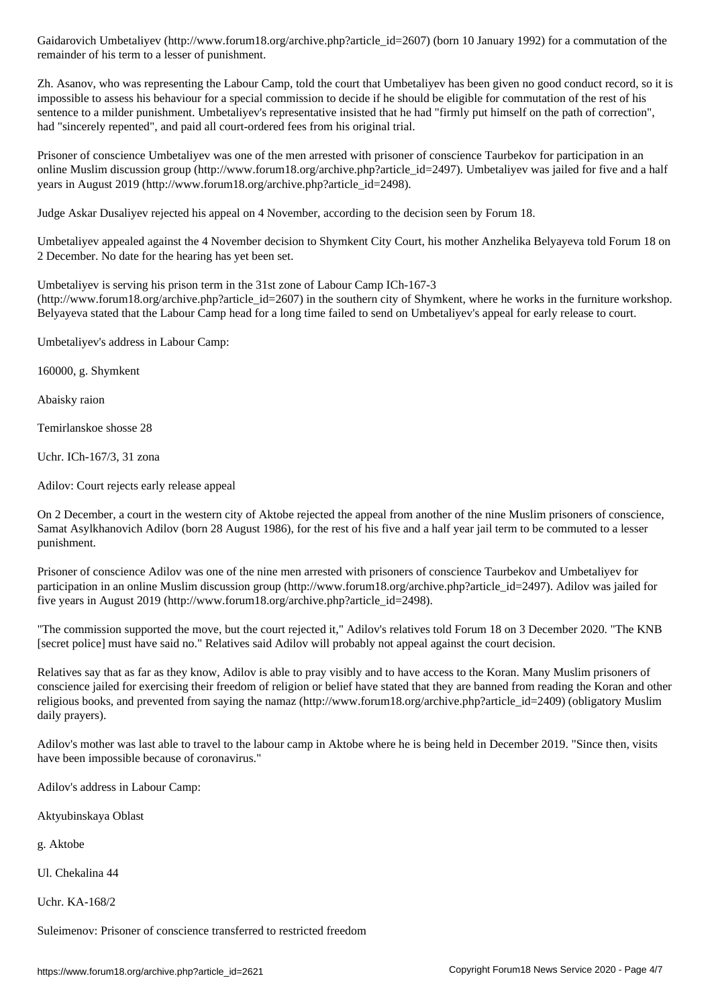Zh. Asanov, who was representing the Labour Camp, told the court that Umbetaliyev has been given no good conduct record, so it is impossible to assess his behaviour for a special commission to decide if he should be eligible for commutation of the rest of his sentence to a milder punishment. Umbetaliyev's representative insisted that he had "firmly put himself on the path of correction", had "sincerely repented", and paid all court-ordered fees from his original trial.

Prisoner of conscience Umbetaliyev was one of the men arrested with prisoner of conscience Taurbekov for participation in an online Muslim discussion group (http://www.forum18.org/archive.php?article\_id=2497). Umbetaliyev was jailed for five and a half years in August 2019 (http://www.forum18.org/archive.php?article\_id=2498).

Judge Askar Dusaliyev rejected his appeal on 4 November, according to the decision seen by Forum 18.

Umbetaliyev appealed against the 4 November decision to Shymkent City Court, his mother Anzhelika Belyayeva told Forum 18 on 2 December. No date for the hearing has yet been set.

Umbetaliyev is serving his prison term in the 31st zone of Labour Camp ICh-167-3  $(\text{http://www.forum18.org/archive.php?article id=2607})$  in the southern city of Shymkent, where he works in the furniture workshop. Belyayeva stated that the Labour Camp head for a long time failed to send on Umbetaliyev's appeal for early release to court.

Umbetaliyev's address in Labour Camp:

remainder of his term to a lesser of punishment.

160000, g. Shymkent

Abaisky raion

Temirlanskoe shosse 28

Uchr. ICh-167/3, 31 zona

Adilov: Court rejects early release appeal

On 2 December, a court in the western city of Aktobe rejected the appeal from another of the nine Muslim prisoners of conscience, Samat Asylkhanovich Adilov (born 28 August 1986), for the rest of his five and a half year jail term to be commuted to a lesser punishment.

Prisoner of conscience Adilov was one of the nine men arrested with prisoners of conscience Taurbekov and Umbetaliyev for participation in an online Muslim discussion group (http://www.forum18.org/archive.php?article\_id=2497). Adilov was jailed for five years in August 2019 (http://www.forum18.org/archive.php?article\_id=2498).

"The commission supported the move, but the court rejected it," Adilov's relatives told Forum 18 on 3 December 2020. "The KNB [secret police] must have said no." Relatives said Adilov will probably not appeal against the court decision.

Relatives say that as far as they know, Adilov is able to pray visibly and to have access to the Koran. Many Muslim prisoners of conscience jailed for exercising their freedom of religion or belief have stated that they are banned from reading the Koran and other religious books, and prevented from saying the namaz (http://www.forum18.org/archive.php?article\_id=2409) (obligatory Muslim daily prayers).

Adilov's mother was last able to travel to the labour camp in Aktobe where he is being held in December 2019. "Since then, visits have been impossible because of coronavirus."

Adilov's address in Labour Camp:

Aktyubinskaya Oblast

g. Aktobe

Ul. Chekalina 44

Uchr. KA-168/2

Suleimenov: Prisoner of conscience transferred to restricted freedom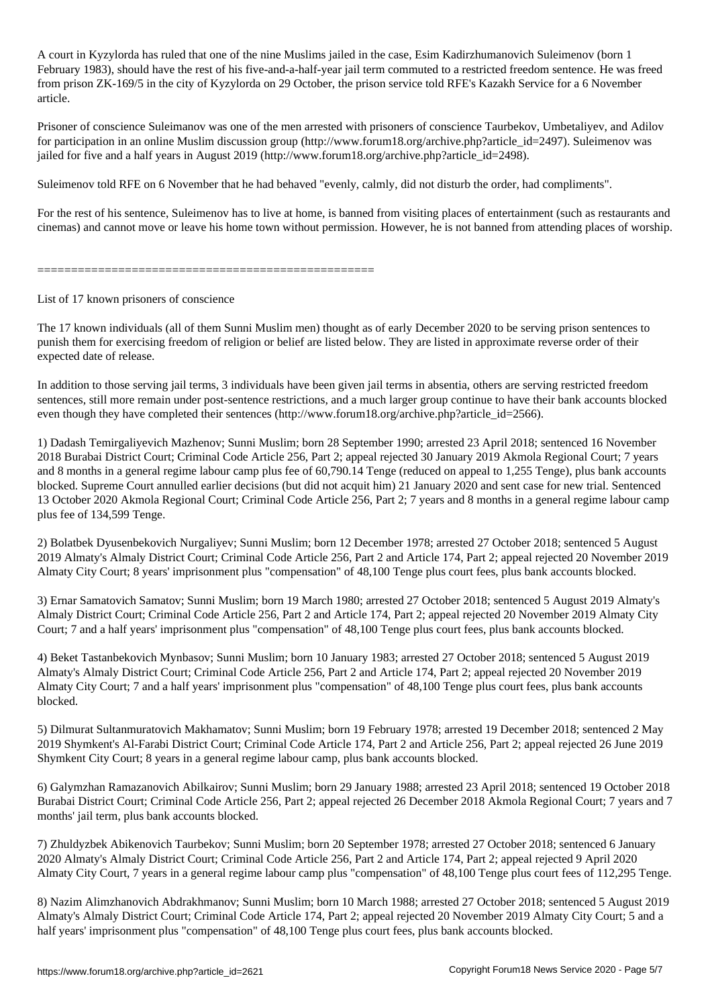A court in Kyzylorda has ruled that one of the nine  $M$  case, Esim Kadirzhumanovich Suleimenovich Suleimenovich Suleimenovich Suleimenovich Suleimenovich Suleimenovich Suleimenovich Suleimenovich Suleimenovich Suleimenovi February 1983), should have the rest of his five-and-a-half-year jail term commuted to a restricted freedom sentence. He was freed from prison ZK-169/5 in the city of Kyzylorda on 29 October, the prison service told RFE's Kazakh Service for a 6 November article.

Prisoner of conscience Suleimanov was one of the men arrested with prisoners of conscience Taurbekov, Umbetaliyev, and Adilov for participation in an online Muslim discussion group (http://www.forum18.org/archive.php?article\_id=2497). Suleimenov was jailed for five and a half years in August 2019 (http://www.forum18.org/archive.php?article\_id=2498).

Suleimenov told RFE on 6 November that he had behaved "evenly, calmly, did not disturb the order, had compliments".

For the rest of his sentence, Suleimenov has to live at home, is banned from visiting places of entertainment (such as restaurants and cinemas) and cannot move or leave his home town without permission. However, he is not banned from attending places of worship.

==================================================

List of 17 known prisoners of conscience

The 17 known individuals (all of them Sunni Muslim men) thought as of early December 2020 to be serving prison sentences to punish them for exercising freedom of religion or belief are listed below. They are listed in approximate reverse order of their expected date of release.

In addition to those serving jail terms, 3 individuals have been given jail terms in absentia, others are serving restricted freedom sentences, still more remain under post-sentence restrictions, and a much larger group continue to have their bank accounts blocked even though they have completed their sentences (http://www.forum18.org/archive.php?article\_id=2566).

1) Dadash Temirgaliyevich Mazhenov; Sunni Muslim; born 28 September 1990; arrested 23 April 2018; sentenced 16 November 2018 Burabai District Court; Criminal Code Article 256, Part 2; appeal rejected 30 January 2019 Akmola Regional Court; 7 years and 8 months in a general regime labour camp plus fee of 60,790.14 Tenge (reduced on appeal to 1,255 Tenge), plus bank accounts blocked. Supreme Court annulled earlier decisions (but did not acquit him) 21 January 2020 and sent case for new trial. Sentenced 13 October 2020 Akmola Regional Court; Criminal Code Article 256, Part 2; 7 years and 8 months in a general regime labour camp plus fee of 134,599 Tenge.

2) Bolatbek Dyusenbekovich Nurgaliyev; Sunni Muslim; born 12 December 1978; arrested 27 October 2018; sentenced 5 August 2019 Almaty's Almaly District Court; Criminal Code Article 256, Part 2 and Article 174, Part 2; appeal rejected 20 November 2019 Almaty City Court; 8 years' imprisonment plus "compensation" of 48,100 Tenge plus court fees, plus bank accounts blocked.

3) Ernar Samatovich Samatov; Sunni Muslim; born 19 March 1980; arrested 27 October 2018; sentenced 5 August 2019 Almaty's Almaly District Court; Criminal Code Article 256, Part 2 and Article 174, Part 2; appeal rejected 20 November 2019 Almaty City Court; 7 and a half years' imprisonment plus "compensation" of 48,100 Tenge plus court fees, plus bank accounts blocked.

4) Beket Tastanbekovich Mynbasov; Sunni Muslim; born 10 January 1983; arrested 27 October 2018; sentenced 5 August 2019 Almaty's Almaly District Court; Criminal Code Article 256, Part 2 and Article 174, Part 2; appeal rejected 20 November 2019 Almaty City Court; 7 and a half years' imprisonment plus "compensation" of 48,100 Tenge plus court fees, plus bank accounts blocked.

5) Dilmurat Sultanmuratovich Makhamatov; Sunni Muslim; born 19 February 1978; arrested 19 December 2018; sentenced 2 May 2019 Shymkent's Al-Farabi District Court; Criminal Code Article 174, Part 2 and Article 256, Part 2; appeal rejected 26 June 2019 Shymkent City Court; 8 years in a general regime labour camp, plus bank accounts blocked.

6) Galymzhan Ramazanovich Abilkairov; Sunni Muslim; born 29 January 1988; arrested 23 April 2018; sentenced 19 October 2018 Burabai District Court; Criminal Code Article 256, Part 2; appeal rejected 26 December 2018 Akmola Regional Court; 7 years and 7 months' jail term, plus bank accounts blocked.

7) Zhuldyzbek Abikenovich Taurbekov; Sunni Muslim; born 20 September 1978; arrested 27 October 2018; sentenced 6 January 2020 Almaty's Almaly District Court; Criminal Code Article 256, Part 2 and Article 174, Part 2; appeal rejected 9 April 2020 Almaty City Court, 7 years in a general regime labour camp plus "compensation" of 48,100 Tenge plus court fees of 112,295 Tenge.

8) Nazim Alimzhanovich Abdrakhmanov; Sunni Muslim; born 10 March 1988; arrested 27 October 2018; sentenced 5 August 2019 Almaty's Almaly District Court; Criminal Code Article 174, Part 2; appeal rejected 20 November 2019 Almaty City Court; 5 and a half years' imprisonment plus "compensation" of 48,100 Tenge plus court fees, plus bank accounts blocked.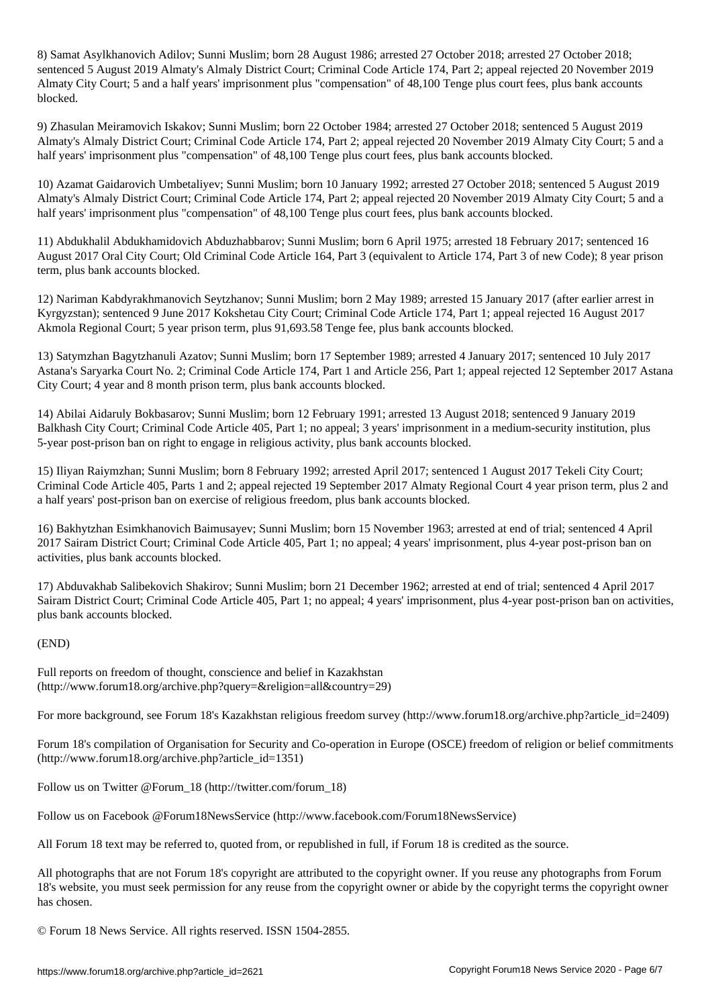8) Samat Asylkhanovich Adilov; Sunni Muslim; born 28 August 1986; arrested 27 October 2018; arrested 27 October 2018; sentenced 5 August 2019 Almaty's Almaly District Court; Criminal Code Article 174, Part 2; appeal rejected 20 November 2019 Almaty City Court; 5 and a half years' imprisonment plus "compensation" of 48,100 Tenge plus court fees, plus bank accounts blocked.

9) Zhasulan Meiramovich Iskakov; Sunni Muslim; born 22 October 1984; arrested 27 October 2018; sentenced 5 August 2019 Almaty's Almaly District Court; Criminal Code Article 174, Part 2; appeal rejected 20 November 2019 Almaty City Court; 5 and a half years' imprisonment plus "compensation" of 48,100 Tenge plus court fees, plus bank accounts blocked.

10) Azamat Gaidarovich Umbetaliyev; Sunni Muslim; born 10 January 1992; arrested 27 October 2018; sentenced 5 August 2019 Almaty's Almaly District Court; Criminal Code Article 174, Part 2; appeal rejected 20 November 2019 Almaty City Court; 5 and a half years' imprisonment plus "compensation" of 48,100 Tenge plus court fees, plus bank accounts blocked.

11) Abdukhalil Abdukhamidovich Abduzhabbarov; Sunni Muslim; born 6 April 1975; arrested 18 February 2017; sentenced 16 August 2017 Oral City Court; Old Criminal Code Article 164, Part 3 (equivalent to Article 174, Part 3 of new Code); 8 year prison term, plus bank accounts blocked.

12) Nariman Kabdyrakhmanovich Seytzhanov; Sunni Muslim; born 2 May 1989; arrested 15 January 2017 (after earlier arrest in Kyrgyzstan); sentenced 9 June 2017 Kokshetau City Court; Criminal Code Article 174, Part 1; appeal rejected 16 August 2017 Akmola Regional Court; 5 year prison term, plus 91,693.58 Tenge fee, plus bank accounts blocked.

13) Satymzhan Bagytzhanuli Azatov; Sunni Muslim; born 17 September 1989; arrested 4 January 2017; sentenced 10 July 2017 Astana's Saryarka Court No. 2; Criminal Code Article 174, Part 1 and Article 256, Part 1; appeal rejected 12 September 2017 Astana City Court; 4 year and 8 month prison term, plus bank accounts blocked.

14) Abilai Aidaruly Bokbasarov; Sunni Muslim; born 12 February 1991; arrested 13 August 2018; sentenced 9 January 2019 Balkhash City Court; Criminal Code Article 405, Part 1; no appeal; 3 years' imprisonment in a medium-security institution, plus 5-year post-prison ban on right to engage in religious activity, plus bank accounts blocked.

15) Iliyan Raiymzhan; Sunni Muslim; born 8 February 1992; arrested April 2017; sentenced 1 August 2017 Tekeli City Court; Criminal Code Article 405, Parts 1 and 2; appeal rejected 19 September 2017 Almaty Regional Court 4 year prison term, plus 2 and a half years' post-prison ban on exercise of religious freedom, plus bank accounts blocked.

16) Bakhytzhan Esimkhanovich Baimusayev; Sunni Muslim; born 15 November 1963; arrested at end of trial; sentenced 4 April 2017 Sairam District Court; Criminal Code Article 405, Part 1; no appeal; 4 years' imprisonment, plus 4-year post-prison ban on activities, plus bank accounts blocked.

17) Abduvakhab Salibekovich Shakirov; Sunni Muslim; born 21 December 1962; arrested at end of trial; sentenced 4 April 2017 Sairam District Court; Criminal Code Article 405, Part 1; no appeal; 4 years' imprisonment, plus 4-year post-prison ban on activities, plus bank accounts blocked.

## (END)

Full reports on freedom of thought, conscience and belief in Kazakhstan (http://www.forum18.org/archive.php?query=&religion=all&country=29)

For more background, see Forum 18's Kazakhstan religious freedom survey (http://www.forum18.org/archive.php?article\_id=2409)

Forum 18's compilation of Organisation for Security and Co-operation in Europe (OSCE) freedom of religion or belief commitments (http://www.forum18.org/archive.php?article\_id=1351)

Follow us on Twitter @Forum\_18 (http://twitter.com/forum\_18)

Follow us on Facebook @Forum18NewsService (http://www.facebook.com/Forum18NewsService)

All Forum 18 text may be referred to, quoted from, or republished in full, if Forum 18 is credited as the source.

All photographs that are not Forum 18's copyright are attributed to the copyright owner. If you reuse any photographs from Forum 18's website, you must seek permission for any reuse from the copyright owner or abide by the copyright terms the copyright owner has chosen.

© Forum 18 News Service. All rights reserved. ISSN 1504-2855.